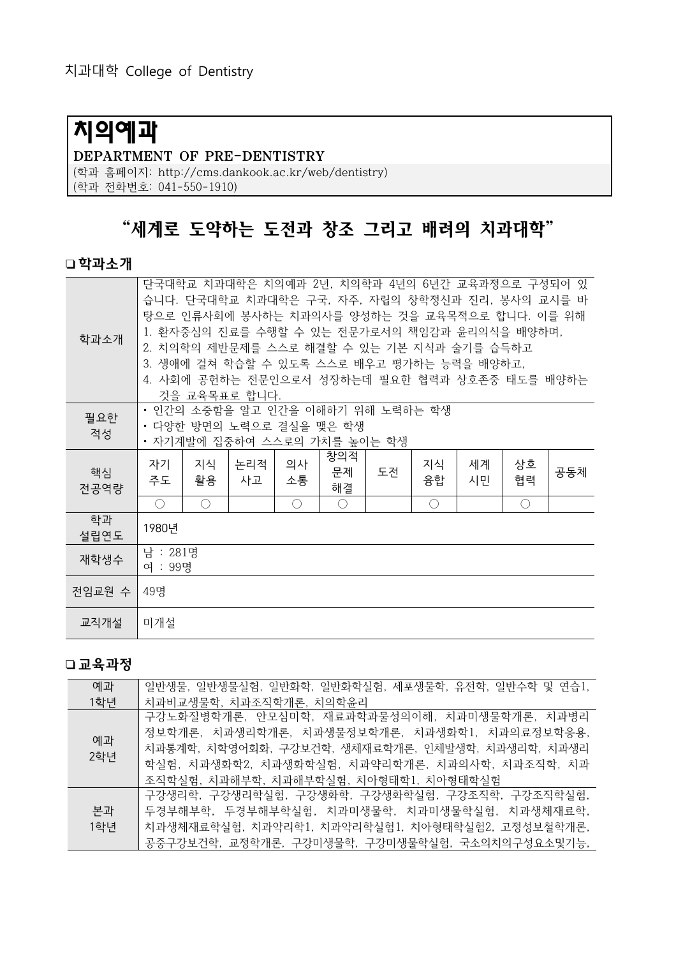# 치의예과

#### DEPARTMENT OF PRE-DENTISTRY

(학과 홈페이지: http://cms.dankook.ac.kr/web/dentistry)

(학과 전화번호: 041-550-1910)

## "세계로 도약하는 도전과 창조 그리고 배려의 치과대학"

#### 학과소개

| 학과소개       | 단국대학교 치과대학은 치의예과 2년, 치의학과 4년의 6년간 교육과정으로 구성되어 있<br>습니다. 단국대학교 치과대학은 구국, 자주, 자립의 창학정신과 진리, 봉사의 교시를 바<br>탕으로 인류사회에 봉사하는 치과의사를 양성하는 것을 교육목적으로 합니다. 이를 위해<br>1. 환자중심의 진료를 수행할 수 있는 전문가로서의 책임감과 윤리의식을 배양하며,<br>2. 치의학의 제반문제를 스스로 해결할 수 있는 기본 지식과 술기를 습득하고<br>3. 생애에 걸쳐 학습할 수 있도록 스스로 배우고 평가하는 능력을 배양하고,<br>4. 사회에 공헌하는 전문인으로서 성장하는데 필요한 협력과 상호존중 태도를 배양하는<br>것을 교육목표로 합니다. |          |           |          |                 |    |          |          |                                             |     |
|------------|-----------------------------------------------------------------------------------------------------------------------------------------------------------------------------------------------------------------------------------------------------------------------------------------------------------------------------------------------------------------------|----------|-----------|----------|-----------------|----|----------|----------|---------------------------------------------|-----|
| 필요한<br>적성  | • 인간의 소중함을 알고 인간을 이해하기 위해 노력하는 학생<br>• 다양한 방면의 노력으로 결실을 맺은 학생<br>• 자기계발에 집중하여 스스로의 가치를 높이는 학생                                                                                                                                                                                                                                                                         |          |           |          |                 |    |          |          |                                             |     |
| 핵심<br>전공역량 | 자기<br>주도                                                                                                                                                                                                                                                                                                                                                              | 지식<br>활용 | 논리적<br>사고 | 의사<br>소통 | 창의적<br>문제<br>해결 | 도전 | 지식<br>융합 | 세계<br>시민 | 상호<br>협력                                    | 공동체 |
|            | $\bigcirc$                                                                                                                                                                                                                                                                                                                                                            | ∩        |           | ◯        | $\bigcap$       |    | ∩        |          | $\left(\begin{array}{c} \end{array}\right)$ |     |
| 학과<br>설립연도 | 1980년                                                                                                                                                                                                                                                                                                                                                                 |          |           |          |                 |    |          |          |                                             |     |
| 재학생수       | 남 : 281명<br>여 : 99명                                                                                                                                                                                                                                                                                                                                                   |          |           |          |                 |    |          |          |                                             |     |
| 전임교원 수     | 49명                                                                                                                                                                                                                                                                                                                                                                   |          |           |          |                 |    |          |          |                                             |     |
| 교직개설       | 미개설                                                                                                                                                                                                                                                                                                                                                                   |          |           |          |                 |    |          |          |                                             |     |

#### 교육과정

| 예과        | 일반생물, 일반생물실험, 일반화학, 일반화학실험, 세포생물학, 유전학, 일반수학 및 연습1, |
|-----------|-----------------------------------------------------|
| 1학년       | 치과비교생물학, 치과조직학개론, 치의학유리                             |
| 예과<br>2학년 | 구강노화질병학개론, 안모심미학, 재료과학과물성의이해, 치과미생물학개론, 치과병리        |
|           | 정보학개론, 치과생리학개론, 치과생물정보학개론, 치과생화학1, 치과의료정보학응용,       |
|           | 치과통계학, 치학영어회화, 구강보건학, 생체재료학개론, 인체발생학, 치과생리학, 치과생리   |
|           | 학실험, 치과생화학2, 치과생화학실험, 치과약리학개론, 치과의사학, 치과조직학, 치과     |
|           | 조직학실험, 치과해부학, 치과해부학실험, 치아형태학1, 치아형태학실험              |
|           | 구강생리학, 구강생리학실험, 구강생화학, 구강생화학실험, 구강조직학, 구강조직학실험,     |
| 본과        | 두경부해부학, 두경부해부학실험, 치과미생물학, 치과미생물학실험, 치과생체재료학,        |
| 1학년       | 치과생체재료학실험, 치과약리학1, 치과약리학실험1, 치아형태학실험2, 고정성보철학개론,    |
|           | 공중구강보건학, 교정학개론, 구강미생물학, 구강미생물학실험, 국소의치의구성요소및기능,     |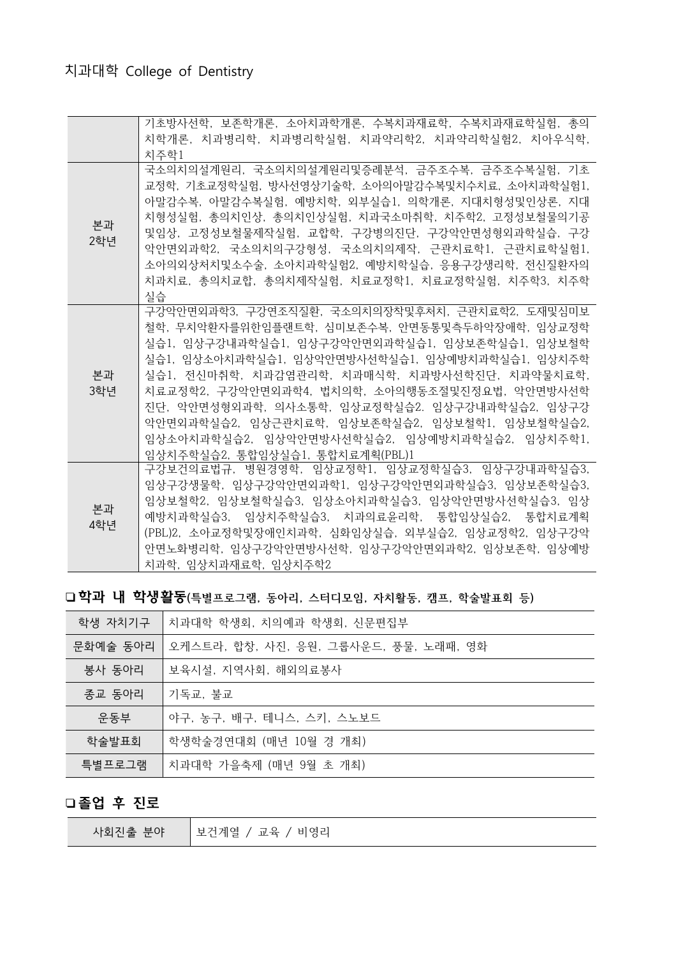|           | 기초방사선학, 보존학개론, 소아치과학개론, 수복치과재료학, 수복치과재료학실험, 총의     |
|-----------|----------------------------------------------------|
|           | 치학개론, 치과병리학, 치과병리학실헊, 치과약리학2, 치과약리학실험2, 치아우식학,     |
|           | 치주학1                                               |
|           | 국소의치의설계원리, 국소의치의설계원리및증례분석, 금주조수복, 금주조수복실험, 기초      |
|           | 교정학, 기초교정학실험, 방사선영상기술학, 소아의아말감수복및치수치료, 소아치과학실험1.   |
|           | 아말감수복, 아말감수복실험, 예방치학, 외부실습1, 의학개론, 지대치형성및인상론, 지대   |
|           | 치형성실험, 총의치인상, 총의치인상실험, 치과국소마취학, 치주학2, 고정성보철물의기공    |
| 본과        | 및임상, 고정성보철물제작실험, 교합학, 구강병의진단, 구강악안면성형외과학실습, 구강     |
| 2학년       | 악안면외과학2. 국소의치의구강형성. 국소의치의제작. 근관치료학1. 근관치료학실험1.     |
|           | 소아의외상처치및소수술, 소아치과학실험2, 예방치학실습, 응용구강생리학, 전신질환자의     |
|           | 치과치료. 총의치교합. 총의치제작실험. 치료교정학1. 치료교정학실험. 치주학3. 치주학   |
|           | 실습                                                 |
|           | 구강악안면외과학3. 구강연조직질환. 국소의치의장착및후처치. 근관치료학2. 도재및심미보    |
|           | 철학, 무치악화자를위한임플랜트학, 심미보존수복, 안면동통및측두하악장애학, 임상교정학     |
|           | 실습1, 임상구강내과학실습1, 임상구강악안면외과학실습1, 임상보존학실습1, 임상보철학    |
|           | 실슴1. 임상소아치과학실슴1. 임상악안면방사선학실슴1. 임상예방치과학실슴1. 임상치주학   |
| 본과        | 실습1. 저시마취학. 치과감염관리학, 치과매식학, 치과방사선학진단, 치과약물치료학,     |
| 3학년       | 치료교정학2. 구강악안면외과학4. 법치의학. 소아의행동조절및진정요법, 악안면방사선학     |
|           | 진단, 악안면성형외과학, 의사소통학, 임상교정학실습2. 임상구강내과학실습2. 임상구강    |
|           | 악안면외과학실습2. 임상근관치료학, 임상보존학실습2, 임상보철학1, 임상보철학실습2.    |
|           | 임상소아치과학실습2. 임상악안면방사선학실습2. 임상예방치과학실습2. 임상치주학1.      |
|           | 임상치주학실습2, 통합임상실습1, 통합치료계획(PBL)1                    |
| 본과<br>4학년 | 구강보건의료법규, 병원경영학, 임상교정학1, 임상교정학실습3, 임상구강내과학실습3.     |
|           | 임상구강생물학, 임상구강악안면외과학1, 임상구강악안면외과학실습3, 임상보존학실습3,     |
|           | 임상보철학2. 임상보철학실습3. 임상소아치과학실습3. 임상악안면방사선학실습3. 임상     |
|           | 예방치과학실습3, 임상치주학실습3, 치과의료유리학, 통합임상실습2, 통합치료계획       |
|           | (PBL)2, 소아교정학및장애인치과학, 심화임상실습, 외부실습2, 임상교정학2, 임상구강악 |
|           | 안면노화병리학, 임상구강악안면방사선학, 임상구강악안면외과학2, 임상보존학, 임상예방     |
|           |                                                    |

### □학과 내 학생활동(특별프로그램, 동아리, 스터디모임, 자치활동, 캠프, 학술발표회 등)

| 학생 자치기구  | 치과대학 학생회, 치의예과 학생회, 신문편집부             |
|----------|---------------------------------------|
| 문화예술 동아리 | 오케스트라, 합창, 사진, 응원, 그룹사운드, 풍물, 노래패, 영화 |
| 봉사 동아리   | 보육시설, 지역사회, 해외의료봉사                    |
| 종교 동아리   | 기독교, 불교                               |
| 운동부      | 야구, 농구, 배구, 테니스, 스키, 스노보드             |
| 학술발표회    | 학생학술경연대회 (매년 10월 경 개최)                |
| 특별프로그램   | 치과대학 가을축제 (매년 9월 초 개최)                |

#### 졸업 후 진로

| 사회진출 부야 | 보건계열<br>/ 교육<br>비영리 |
|---------|---------------------|
|---------|---------------------|